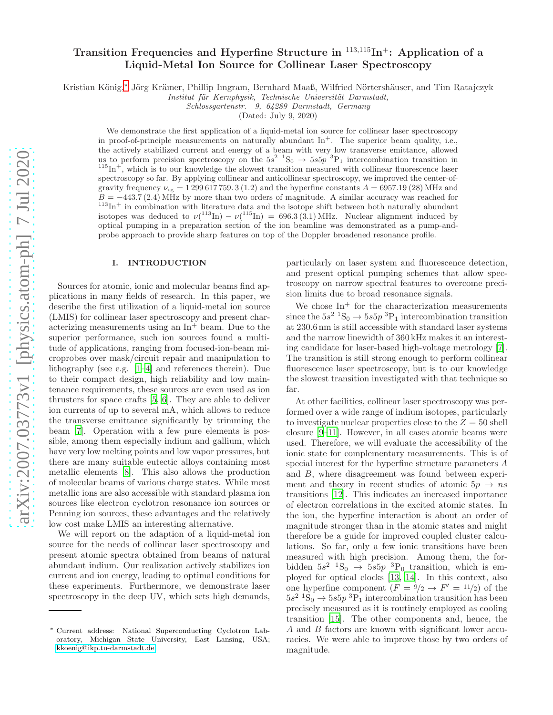# Transition Frequencies and Hyperfine Structure in <sup>113</sup>,<sup>115</sup>In<sup>+</sup>: Application of a Liquid-Metal Ion Source for Collinear Laser Spectroscopy

Kristian König,<sup>[∗](#page-0-0)</sup> Jörg Krämer, Phillip Imgram, Bernhard Maaß, Wilfried Nörtershäuser, and Tim Ratajczyk

*Institut f¨ur Kernphysik, Technische Universit¨at Darmstadt,*

*Schlossgartenstr. 9, 64289 Darmstadt, Germany*

(Dated: July 9, 2020)

We demonstrate the first application of a liquid-metal ion source for collinear laser spectroscopy in proof-of-principle measurements on naturally abundant  $\text{In}^+$ . The superior beam quality, i.e., the actively stabilized current and energy of a beam with very low transverse emittance, allowed us to perform precision spectroscopy on the  $5s^2$   ${}^1S_0 \rightarrow 5s5p~{}^3P_1$  intercombination transition in  $115\text{In}^+$ , which is to our knowledge the slowest transition measured with collinear fluorescence laser spectroscopy so far. By applying collinear and anticollinear spectroscopy, we improved the center-ofgravity frequency  $\nu_{cg} = 1299617759.3$  (1.2) and the hyperfine constants  $A = 6957.19$  (28) MHz and  $B = -443.7(2.4)$  MHz by more than two orders of magnitude. A similar accuracy was reached for  $113\text{In}^+$  in combination with literature data and the isotope shift between both naturally abundant isotopes was deduced to  $\nu(^{113} \text{In}) - \nu(^{115} \text{In}) = 696.3(3.1) \text{ MHz}$ . Nuclear alignment induced by optical pumping in a preparation section of the ion beamline was demonstrated as a pump-andprobe approach to provide sharp features on top of the Doppler broadened resonance profile.

# I. INTRODUCTION

Sources for atomic, ionic and molecular beams find applications in many fields of research. In this paper, we describe the first utilization of a liquid-metal ion source (LMIS) for collinear laser spectroscopy and present characterizing measurements using an  $\text{In}^+$  beam. Due to the superior performance, such ion sources found a multitude of applications, ranging from focused-ion-beam microprobes over mask/circuit repair and manipulation to lithography (see e.g. [\[1](#page-6-0)[–4](#page-6-1)] and references therein). Due to their compact design, high reliability and low maintenance requirements, these sources are even used as ion thrusters for space crafts [\[5,](#page-6-2) [6\]](#page-6-3). They are able to deliver ion currents of up to several mA, which allows to reduce the transverse emittance significantly by trimming the beam [\[7\]](#page-6-4). Operation with a few pure elements is possible, among them especially indium and gallium, which have very low melting points and low vapor pressures, but there are many suitable eutectic alloys containing most metallic elements [\[8\]](#page-6-5). This also allows the production of molecular beams of various charge states. While most metallic ions are also accessible with standard plasma ion sources like electron cyclotron resonance ion sources or Penning ion sources, these advantages and the relatively low cost make LMIS an interesting alternative.

We will report on the adaption of a liquid-metal ion source for the needs of collinear laser spectroscopy and present atomic spectra obtained from beams of natural abundant indium. Our realization actively stabilizes ion current and ion energy, leading to optimal conditions for these experiments. Furthermore, we demonstrate laser spectroscopy in the deep UV, which sets high demands,

particularly on laser system and fluorescence detection, and present optical pumping schemes that allow spectroscopy on narrow spectral features to overcome precision limits due to broad resonance signals.

We chose  $In<sup>+</sup>$  for the characterization measurements since the  $5s^2$   ${}^{1}S_0 \rightarrow 5s5p~{}^{3}P_1$  intercombination transition at 230.6 nm is still accessible with standard laser systems and the narrow linewidth of 360 kHz makes it an interesting candidate for laser-based high-voltage metrology [\[7\]](#page-6-4). The transition is still strong enough to perform collinear fluorescence laser spectroscopy, but is to our knowledge the slowest transition investigated with that technique so far.

At other facilities, collinear laser spectroscopy was performed over a wide range of indium isotopes, particularly to investigate nuclear properties close to the  $Z = 50$  shell closure [\[9](#page-6-6)[–11](#page-6-7)]. However, in all cases atomic beams were used. Therefore, we will evaluate the accessibility of the ionic state for complementary measurements. This is of special interest for the hyperfine structure parameters A and B, where disagreement was found between experiment and theory in recent studies of atomic  $5p \rightarrow ns$ transitions [\[12\]](#page-6-8). This indicates an increased importance of electron correlations in the excited atomic states. In the ion, the hyperfine interaction is about an order of magnitude stronger than in the atomic states and might therefore be a guide for improved coupled cluster calculations. So far, only a few ionic transitions have been measured with high precision. Among them, the forbidden  $5s^2$   ${}^{1}S_0$   $\rightarrow$   $5s5p$   ${}^{3}P_0$  transition, which is employed for optical clocks [\[13](#page-6-9), [14](#page-6-10)]. In this context, also one hyperfine component  $(F = 9/2 \rightarrow F' = 11/2)$  of the  $5s^2$ <sup>1</sup>S<sub>0</sub>  $\rightarrow$  5s5p<sup>3</sup>P<sub>1</sub> intercombination transition has been precisely measured as it is routinely employed as cooling transition [\[15](#page-6-11)]. The other components and, hence, the A and B factors are known with significant lower accuracies. We were able to improve those by two orders of magnitude.

<span id="page-0-0"></span><sup>∗</sup> Current address: National Superconducting Cyclotron Laboratory, Michigan State University, East Lansing, USA; [kkoenig@ikp.tu-darmstadt.de](mailto:kkoenig@ikp.tu-darmstadt.de)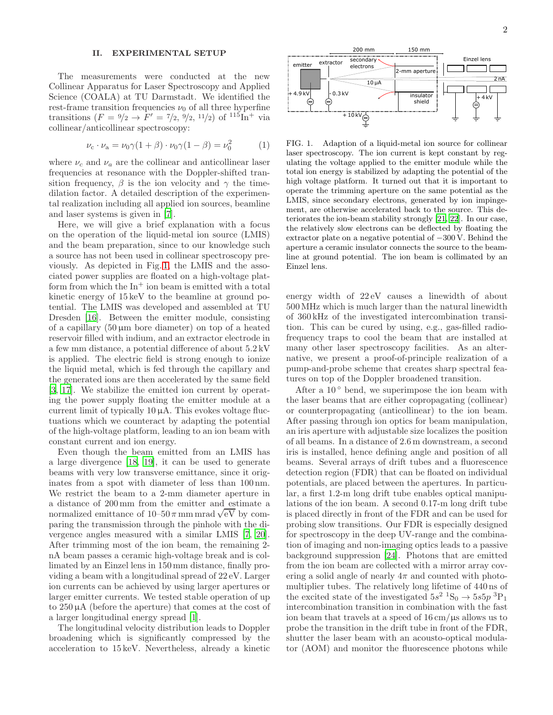## II. EXPERIMENTAL SETUP

The measurements were conducted at the new Collinear Apparatus for Laser Spectroscopy and Applied Science (COALA) at TU Darmstadt. We identified the rest-frame transition frequencies  $\nu_0$  of all three hyperfine transitions  $(F = \frac{9}{2} \rightarrow F' = \frac{7}{2}, \frac{9}{2}, \frac{11}{2}$  of  $\frac{115}{10} + \text{via}$ collinear/anticollinear spectroscopy:

<span id="page-1-1"></span>
$$
\nu_{\rm c} \cdot \nu_{\rm a} = \nu_0 \gamma (1 + \beta) \cdot \nu_0 \gamma (1 - \beta) = \nu_0^2 \tag{1}
$$

where  $\nu_c$  and  $\nu_a$  are the collinear and anticollinear laser frequencies at resonance with the Doppler-shifted transition frequency,  $\beta$  is the ion velocity and  $\gamma$  the timedilation factor. A detailed description of the experimental realization including all applied ion sources, beamline and laser systems is given in [\[7](#page-6-4)].

Here, we will give a brief explanation with a focus on the operation of the liquid-metal ion source (LMIS) and the beam preparation, since to our knowledge such a source has not been used in collinear spectroscopy previously. As depicted in Fig. [1,](#page-1-0) the LMIS and the associated power supplies are floated on a high-voltage platform from which the  $\text{In}^+$  ion beam is emitted with a total kinetic energy of 15 keV to the beamline at ground potential. The LMIS was developed and assembled at TU Dresden [\[16\]](#page-6-12). Between the emitter module, consisting of a capillary  $(50 \,\mu m)$  bore diameter) on top of a heated reservoir filled with indium, and an extractor electrode in a few mm distance, a potential difference of about 5.2 kV is applied. The electric field is strong enough to ionize the liquid metal, which is fed through the capillary and the generated ions are then accelerated by the same field [\[3,](#page-6-13) [17](#page-6-14)]. We stabilize the emitted ion current by operating the power supply floating the emitter module at a current limit of typically  $10 \mu A$ . This evokes voltage fluctuations which we counteract by adapting the potential of the high-voltage platform, leading to an ion beam with constant current and ion energy.

Even though the beam emitted from an LMIS has a large divergence [\[18,](#page-6-15) [19](#page-6-16)], it can be used to generate beams with very low transverse emittance, since it originates from a spot with diameter of less than 100 nm. We restrict the beam to a 2-mm diameter aperture in a distance of 200 mm from the emitter and estimate a normalized emittance of  $10-50 \pi$  mm mrad  $\sqrt{eV}$  by comparing the transmission through the pinhole with the divergence angles measured with a similar LMIS [\[7](#page-6-4), [20\]](#page-6-17). After trimming most of the ion beam, the remaining 2 nA beam passes a ceramic high-voltage break and is collimated by an Einzel lens in 150 mm distance, finally providing a beam with a longitudinal spread of 22 eV. Larger ion currents can be achieved by using larger apertures or larger emitter currents. We tested stable operation of up to  $250 \mu A$  (before the aperture) that comes at the cost of a larger longitudinal energy spread [\[1](#page-6-0)].

The longitudinal velocity distribution leads to Doppler broadening which is significantly compressed by the acceleration to 15 keV. Nevertheless, already a kinetic



<span id="page-1-0"></span>FIG. 1. Adaption of a liquid-metal ion source for collinear laser spectroscopy. The ion current is kept constant by regulating the voltage applied to the emitter module while the total ion energy is stabilized by adapting the potential of the high voltage platform. It turned out that it is important to operate the trimming aperture on the same potential as the LMIS, since secondary electrons, generated by ion impingement, are otherwise accelerated back to the source. This deteriorates the ion-beam stability strongly [\[21,](#page-6-18) [22\]](#page-6-19). In our case, the relatively slow electrons can be deflected by floating the extractor plate on a negative potential of −300 V. Behind the aperture a ceramic insulator connects the source to the beamline at ground potential. The ion beam is collimated by an Einzel lens.

energy width of 22 eV causes a linewidth of about 500MHz which is much larger than the natural linewidth of 360 kHz of the investigated intercombination transition. This can be cured by using, e.g., gas-filled radiofrequency traps to cool the beam that are installed at many other laser spectroscopy facilities. As an alternative, we present a proof-of-principle realization of a pump-and-probe scheme that creates sharp spectral features on top of the Doppler broadened transition.

After a  $10^{\circ}$  bend, we superimpose the ion beam with the laser beams that are either copropagating (collinear) or counterpropagating (anticollinear) to the ion beam. After passing through ion optics for beam manipulation, an iris aperture with adjustable size localizes the position of all beams. In a distance of 2.6 m downstream, a second iris is installed, hence defining angle and position of all beams. Several arrays of drift tubes and a fluorescence detection region (FDR) that can be floated on individual potentials, are placed between the apertures. In particular, a first 1.2-m long drift tube enables optical manipulations of the ion beam. A second 0.17-m long drift tube is placed directly in front of the FDR and can be used for probing slow transitions. Our FDR is especially designed for spectroscopy in the deep UV-range and the combination of imaging and non-imaging optics leads to a passive background suppression [\[24\]](#page-6-20). Photons that are emitted from the ion beam are collected with a mirror array covering a solid angle of nearly  $4\pi$  and counted with photomultiplier tubes. The relatively long lifetime of 440 ns of the excited state of the investigated  $5s^2$   ${}^1S_0 \rightarrow 5s5p$   ${}^3P_1$ intercombination transition in combination with the fast ion beam that travels at a speed of 16 cm/µs allows us to probe the transition in the drift tube in front of the FDR, shutter the laser beam with an acousto-optical modulator (AOM) and monitor the fluorescence photons while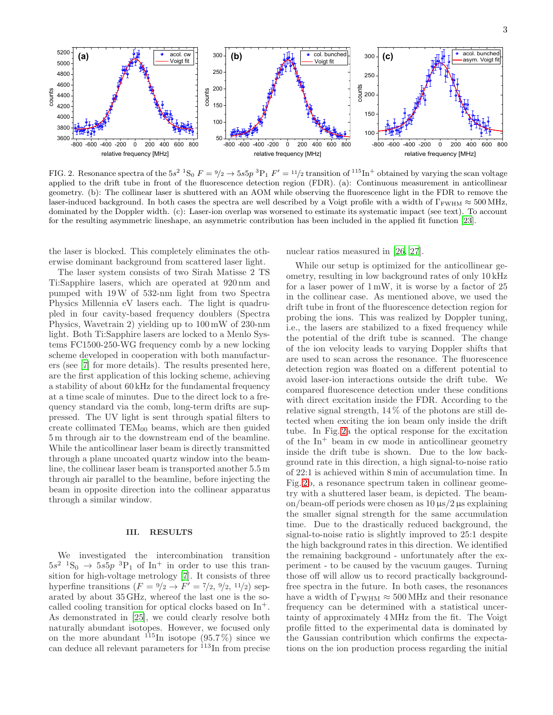

<span id="page-2-0"></span>FIG. 2. Resonance spectra of the  $5s^2$   ${}^1S_0$   $F = {}^9/2 \rightarrow 5s5p$   ${}^3P_1$   $F' = {}^{11}/2$  transition of  ${}^{115}In^+$  obtained by varying the scan voltage applied to the drift tube in front of the fluorescence detection region (FDR). (a): Continuous measurement in anticollinear geometry. (b): The collinear laser is shuttered with an AOM while observing the fluorescence light in the FDR to remove the laser-induced background. In both cases the spectra are well described by a Voigt profile with a width of  $\Gamma_{\rm FWHM} \approx 500 \text{ MHz}$ , dominated by the Doppler width. (c): Laser-ion overlap was worsened to estimate its systematic impact (see text). To account for the resulting asymmetric lineshape, an asymmetric contribution has been included in the applied fit function [\[23](#page-6-21)].

the laser is blocked. This completely eliminates the otherwise dominant background from scattered laser light.

The laser system consists of two Sirah Matisse 2 TS Ti:Sapphire lasers, which are operated at 920 nm and pumped with 19W of 532-nm light from two Spectra Physics Millennia eV lasers each. The light is quadrupled in four cavity-based frequency doublers (Spectra Physics, Wavetrain 2) yielding up to 100 mW of 230-nm light. Both Ti:Sapphire lasers are locked to a Menlo Systems FC1500-250-WG frequency comb by a new locking scheme developed in cooperation with both manufacturers (see [\[7\]](#page-6-4) for more details). The results presented here, are the first application of this locking scheme, achieving a stability of about 60 kHz for the fundamental frequency at a time scale of minutes. Due to the direct lock to a frequency standard via the comb, long-term drifts are suppressed. The UV light is sent through spatial filters to create collimated  $TEM_{00}$  beams, which are then guided 5 m through air to the downstream end of the beamline. While the anticollinear laser beam is directly transmitted through a plane uncoated quartz window into the beamline, the collinear laser beam is transported another 5.5 m through air parallel to the beamline, before injecting the beam in opposite direction into the collinear apparatus through a similar window.

# III. RESULTS

We investigated the intercombination transition  $5s^2$   ${}^{1}S_0 \rightarrow 5s5p$   ${}^{3}P_1$  of In<sup>+</sup> in order to use this transition for high-voltage metrology [\[7\]](#page-6-4). It consists of three hyperfine transitions  $(F = \frac{9}{2} \rightarrow F' = \frac{7}{2}, \frac{9}{2}, \frac{11}{2})$  separated by about 35 GHz, whereof the last one is the socalled cooling transition for optical clocks based on  $In<sup>+</sup>$ . As demonstrated in [\[25\]](#page-6-22), we could clearly resolve both naturally abundant isotopes. However, we focused only on the more abundant  $^{115}$ In isotope (95.7%) since we can deduce all relevant parameters for <sup>113</sup>In from precise nuclear ratios measured in [\[26](#page-6-23), [27](#page-6-24)].

While our setup is optimized for the anticollinear geometry, resulting in low background rates of only 10 kHz for a laser power of  $1 \text{ mW}$ , it is worse by a factor of  $25$ in the collinear case. As mentioned above, we used the drift tube in front of the fluorescence detection region for probing the ions. This was realized by Doppler tuning, i.e., the lasers are stabilized to a fixed frequency while the potential of the drift tube is scanned. The change of the ion velocity leads to varying Doppler shifts that are used to scan across the resonance. The fluorescence detection region was floated on a different potential to avoid laser-ion interactions outside the drift tube. We compared fluorescence detection under these conditions with direct excitation inside the FDR. According to the relative signal strength, 14 % of the photons are still detected when exciting the ion beam only inside the drift tube. In Fig. [2a](#page-2-0) the optical response for the excitation of the  $In<sup>+</sup>$  beam in cw mode in anticollinear geometry inside the drift tube is shown. Due to the low background rate in this direction, a high signal-to-noise ratio of 22:1 is achieved within 8 min of accumulation time. In Fig. [2b](#page-2-0), a resonance spectrum taken in collinear geometry with a shuttered laser beam, is depicted. The beamon/beam-off periods were chosen as  $10 \mu s/2 \mu s$  explaining the smaller signal strength for the same accumulation time. Due to the drastically reduced background, the signal-to-noise ratio is slightly improved to 25:1 despite the high background rates in this direction. We identified the remaining background - unfortunately after the experiment - to be caused by the vacuum gauges. Turning those off will allow us to record practically backgroundfree spectra in the future. In both cases, the resonances have a width of  $\Gamma_{\rm FWHM} \approx 500 \text{ MHz}$  and their resonance frequency can be determined with a statistical uncertainty of approximately 4 MHz from the fit. The Voigt profile fitted to the experimental data is dominated by the Gaussian contribution which confirms the expectations on the ion production process regarding the initial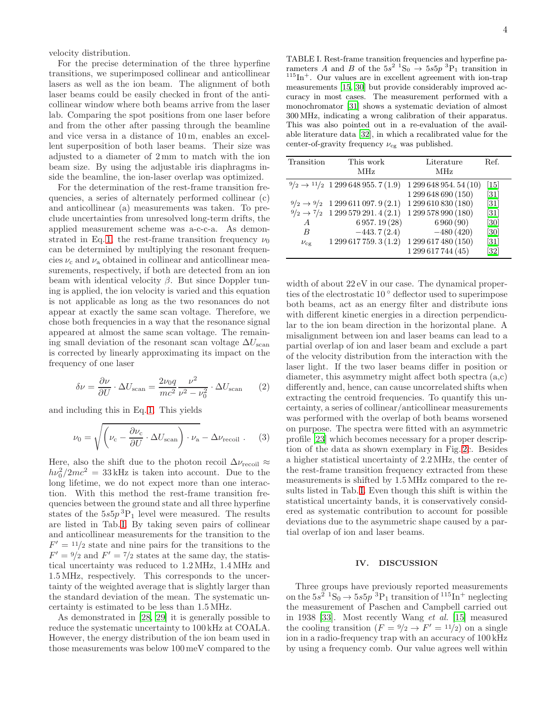velocity distribution.

For the precise determination of the three hyperfine transitions, we superimposed collinear and anticollinear lasers as well as the ion beam. The alignment of both laser beams could be easily checked in front of the anticollinear window where both beams arrive from the laser lab. Comparing the spot positions from one laser before and from the other after passing through the beamline and vice versa in a distance of 10 m, enables an excellent superposition of both laser beams. Their size was adjusted to a diameter of 2 mm to match with the ion beam size. By using the adjustable iris diaphragms inside the beamline, the ion-laser overlap was optimized.

For the determination of the rest-frame transition frequencies, a series of alternately performed collinear (c) and anticollinear (a) measurements was taken. To preclude uncertainties from unresolved long-term drifts, the applied measurement scheme was a-c-c-a. As demon-strated in Eq. [1,](#page-1-1) the rest-frame transition frequency  $\nu_0$ can be determined by multiplying the resonant frequencies  $\nu_c$  and  $\nu_a$  obtained in collinear and anticollinear measurements, respectively, if both are detected from an ion beam with identical velocity  $\beta$ . But since Doppler tuning is applied, the ion velocity is varied and this equation is not applicable as long as the two resonances do not appear at exactly the same scan voltage. Therefore, we chose both frequencies in a way that the resonance signal appeared at almost the same scan voltage. The remaining small deviation of the resonant scan voltage  $\Delta U_{\rm scan}$ is corrected by linearly approximating its impact on the frequency of one laser

$$
\delta \nu = \frac{\partial \nu}{\partial U} \cdot \Delta U_{\text{scan}} = \frac{2\nu_0 q}{mc^2} \frac{\nu^2}{\nu^2 - \nu_0^2} \cdot \Delta U_{\text{scan}} \qquad (2)
$$

and including this in Eq. [1.](#page-1-1) This yields

$$
\nu_0 = \sqrt{\left(\nu_c - \frac{\partial \nu_c}{\partial U} \cdot \Delta U_{\text{scan}}\right) \cdot \nu_a - \Delta \nu_{\text{recoil}}}\,. \tag{3}
$$

Here, also the shift due to the photon recoil  $\Delta \nu_{\rm recoil} \approx$  $h\nu_0^2/2mc^2 = 33 \text{ kHz}$  is taken into account. Due to the long lifetime, we do not expect more than one interaction. With this method the rest-frame transition frequencies between the ground state and all three hyperfine states of the  $5s5p^{3}P_1$  level were measured. The results are listed in Tab.[I.](#page-3-0) By taking seven pairs of collinear and anticollinear measurements for the transition to the  $F' = 11/2$  state and nine pairs for the transitions to the  $F' = \frac{9}{2}$  and  $F' = \frac{7}{2}$  states at the same day, the statistical uncertainty was reduced to 1.2 MHz, 1.4 MHz and 1.5 MHz, respectively. This corresponds to the uncertainty of the weighted average that is slightly larger than the standard deviation of the mean. The systematic uncertainty is estimated to be less than 1.5 MHz.

As demonstrated in [\[28,](#page-6-25) [29\]](#page-6-26) it is generally possible to reduce the systematic uncertainty to 100 kHz at COALA. However, the energy distribution of the ion beam used in those measurements was below 100 meV compared to the

<span id="page-3-0"></span>TABLE I. Rest-frame transition frequencies and hyperfine parameters A and B of the  $5s^2$   ${}^1S_0 \rightarrow 5s5p$   ${}^3P_1$  transition in  ${}^{115}\mathrm{In}^+$  . Our values are in excellent agreement with ion-trap measurements [\[15](#page-6-11), [30\]](#page-6-27) but provide considerably improved accuracy in most cases. The measurement performed with a monochromator [\[31\]](#page-6-28) shows a systematic deviation of almost 300 MHz, indicating a wrong calibration of their apparatus. This was also pointed out in a re-evaluation of the available literature data [\[32](#page-6-29)], in which a recalibrated value for the center-of-gravity frequency  $\nu_{\text{cg}}$  was published.

| Transition                                                 | This work<br><b>MHz</b>                                                                                                                                                                                    | Literature<br><b>MHz</b>                                                                                                                                            | Ref.                                                                                              |
|------------------------------------------------------------|------------------------------------------------------------------------------------------------------------------------------------------------------------------------------------------------------------|---------------------------------------------------------------------------------------------------------------------------------------------------------------------|---------------------------------------------------------------------------------------------------|
| $9/2 \rightarrow 9/2$<br>$\overline{A}$<br>B<br>$\nu_{cg}$ | $\frac{9}{2} \rightarrow \frac{11}{2}$ 1 299 648 955. 7 (1.9)<br>1299611097.9(2.1)<br>$\frac{9}{2} \rightarrow \frac{7}{2}$ 1 299 579 291. 4 (2.1)<br>6 957. 19 (28)<br>$-443.7(2.4)$<br>1299617759.3(1.2) | 1 299 648 954. 54 (10)<br>1 299 648 690 (150)<br>1 299 610 830 (180)<br>1 299 578 990 (180)<br>6960(90)<br>$-480(420)$<br>1 299 617 480 (150)<br>1 299 617 744 (45) | $\left[15\right]$<br>[31]<br>[31]<br>[31]<br>[30]<br>[30]<br>[31]<br>$\left\lceil 32\right\rceil$ |

width of about  $22 \text{ eV}$  in our case. The dynamical properties of the electrostatic 10 ◦ deflector used to superimpose both beams, act as an energy filter and distribute ions with different kinetic energies in a direction perpendicular to the ion beam direction in the horizontal plane. A misalignment between ion and laser beams can lead to a partial overlap of ion and laser beam and exclude a part of the velocity distribution from the interaction with the laser light. If the two laser beams differ in position or diameter, this asymmetry might affect both spectra (a,c) differently and, hence, can cause uncorrelated shifts when extracting the centroid frequencies. To quantify this uncertainty, a series of collinear/anticollinear measurements was performed with the overlap of both beams worsened on purpose. The spectra were fitted with an asymmetric profile [\[23\]](#page-6-21) which becomes necessary for a proper description of the data as shown exemplary in Fig. [2c](#page-2-0). Besides a higher statistical uncertainty of 2.2MHz, the center of the rest-frame transition frequency extracted from these measurements is shifted by 1.5 MHz compared to the results listed in Tab.[I.](#page-3-0) Even though this shift is within the statistical uncertainty bands, it is conservatively considered as systematic contribution to account for possible deviations due to the asymmetric shape caused by a partial overlap of ion and laser beams.

#### IV. DISCUSSION

Three groups have previously reported measurements on the  $5s^2$   ${}^{1}S_0 \rightarrow 5s5p~{}^{3}P_1$  transition of  ${}^{115}In^{+}$  neglecting the measurement of Paschen and Campbell carried out in 1938 [\[33\]](#page-6-30). Most recently Wang et al. [\[15\]](#page-6-11) measured the cooling transition  $(F = 9/2 \rightarrow F' = 11/2)$  on a single ion in a radio-frequency trap with an accuracy of 100 kHz by using a frequency comb. Our value agrees well within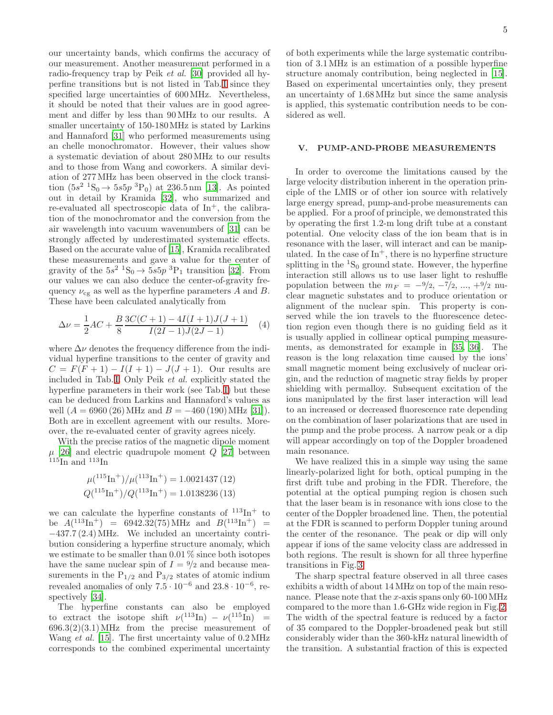our uncertainty bands, which confirms the accuracy of our measurement. Another measurement performed in a radio-frequency trap by Peik et al. [\[30](#page-6-27)] provided all hyperfine transitions but is not listed in Tab.[I](#page-3-0) since they specified large uncertainties of 600MHz. Nevertheless, it should be noted that their values are in good agreement and differ by less than 90 MHz to our results. A smaller uncertainty of 150-180MHz is stated by Larkins and Hannaford [\[31\]](#page-6-28) who performed measurements using an chelle monochromator. However, their values show a systematic deviation of about 280 MHz to our results and to those from Wang and coworkers. A similar deviation of 277MHz has been observed in the clock transition  $(5s^2 \ {}^1S_0 \rightarrow 5s5p \ {}^3P_0)$  at 236.5 nm [\[13\]](#page-6-9). As pointed out in detail by Kramida [\[32](#page-6-29)], who summarized and re-evaluated all spectroscopic data of  $\text{In}^+$ , the calibration of the monochromator and the conversion from the air wavelength into vacuum wavenumbers of [\[31\]](#page-6-28) can be strongly affected by underestimated systematic effects. Based on the accurate value of [\[15\]](#page-6-11), Kramida recalibrated these measurements and gave a value for the center of gravity of the  $5s^2$   ${}^1S_0 \rightarrow 5s5p~{}^3P_1$  transition [\[32](#page-6-29)]. From our values we can also deduce the center-of-gravity frequency  $\nu_{cg}$  as well as the hyperfine parameters A and B. These have been calculated analytically from

$$
\Delta \nu = \frac{1}{2}AC + \frac{B}{8} \frac{3C(C+1) - 4I(I+1)J(J+1)}{I(2I-1)J(2J-1)}
$$
(4)

where  $\Delta \nu$  denotes the frequency difference from the individual hyperfine transitions to the center of gravity and  $C = F(F + 1) - I(I + 1) - J(J + 1)$ . Our results are included in Tab.[I.](#page-3-0) Only Peik et al. explicitly stated the hyperfine parameters in their work (see Tab.[I\)](#page-3-0) but these can be deduced from Larkins and Hannaford's values as well  $(A = 6960 (26) \text{ MHz}$  and  $B = -460 (190) \text{ MHz}$  [\[31\]](#page-6-28)). Both are in excellent agreement with our results. Moreover, the re-evaluated center of gravity agrees nicely.

With the precise ratios of the magnetic dipole moment  $\mu$  [\[26](#page-6-23)] and electric quadrupole moment Q [\[27\]](#page-6-24) between  $115$ In and  $113$ In

$$
\mu(^{115}\text{In}^+)/\mu(^{113}\text{In}^+) = 1.0021437(12)
$$
  

$$
Q(^{115}\text{In}^+)/Q(^{113}\text{In}^+) = 1.0138236(13)
$$

we can calculate the hyperfine constants of  $113\text{In}^+$  to be  $A(^{113}\text{In}^+)$  = 6942.32(75) MHz and  $B(^{113}\text{In}^+)$  = −437.7 (2.4)MHz. We included an uncertainty contribution considering a hyperfine structure anomaly, which we estimate to be smaller than  $0.01\%$  since both isotopes have the same nuclear spin of  $I = \frac{9}{2}$  and because measurements in the  $P_{1/2}$  and  $P_{3/2}$  states of atomic indium revealed anomalies of only  $7.5 \cdot 10^{-6}$  and  $23.8 \cdot 10^{-6}$ , respectively [\[34\]](#page-6-31).

The hyperfine constants can also be employed to extract the isotope shift  $\nu(^{113} \text{In}) - \nu(^{115} \text{In}) =$  $696.3(2)(3.1)$  MHz from the precise measurement of Wang *et al.* [\[15](#page-6-11)]. The first uncertainty value of  $0.2 \text{ MHz}$ corresponds to the combined experimental uncertainty

of both experiments while the large systematic contribution of 3.1MHz is an estimation of a possible hyperfine structure anomaly contribution, being neglected in [\[15\]](#page-6-11). Based on experimental uncertainties only, they present an uncertainty of 1.68MHz but since the same analysis is applied, this systematic contribution needs to be considered as well.

## V. PUMP-AND-PROBE MEASUREMENTS

In order to overcome the limitations caused by the large velocity distribution inherent in the operation principle of the LMIS or of other ion source with relatively large energy spread, pump-and-probe measurements can be applied. For a proof of principle, we demonstrated this by operating the first 1.2-m long drift tube at a constant potential. One velocity class of the ion beam that is in resonance with the laser, will interact and can be manipulated. In the case of  $\text{In}^+$ , there is no hyperfine structure splitting in the  ${}^{1}S_{0}$  ground state. However, the hyperfine interaction still allows us to use laser light to reshuffle population between the  $m_F = -\frac{9}{2}, -\frac{7}{2}, ..., +\frac{9}{2}$  nuclear magnetic substates and to produce orientation or alignment of the nuclear spin. This property is conserved while the ion travels to the fluorescence detection region even though there is no guiding field as it is usually applied in collinear optical pumping measurements, as demonstrated for example in [\[35,](#page-6-32) [36](#page-6-33)]. The reason is the long relaxation time caused by the ions' small magnetic moment being exclusively of nuclear origin, and the reduction of magnetic stray fields by proper shielding with permalloy. Subsequent excitation of the ions manipulated by the first laser interaction will lead to an increased or decreased fluorescence rate depending on the combination of laser polarizations that are used in the pump and the probe process. A narrow peak or a dip will appear accordingly on top of the Doppler broadened main resonance.

We have realized this in a simple way using the same linearly-polarized light for both, optical pumping in the first drift tube and probing in the FDR. Therefore, the potential at the optical pumping region is chosen such that the laser beam is in resonance with ions close to the center of the Doppler broadened line. Then, the potential at the FDR is scanned to perform Doppler tuning around the center of the resonance. The peak or dip will only appear if ions of the same velocity class are addressed in both regions. The result is shown for all three hyperfine transitions in Fig. [3.](#page-5-0)

The sharp spectral feature observed in all three cases exhibits a width of about 14 MHz on top of the main resonance. Please note that the x-axis spans only  $60-100 \text{ MHz}$ compared to the more than 1.6-GHz wide region in Fig. [2.](#page-2-0) The width of the spectral feature is reduced by a factor of 35 compared to the Doppler-broadened peak but still considerably wider than the 360-kHz natural linewidth of the transition. A substantial fraction of this is expected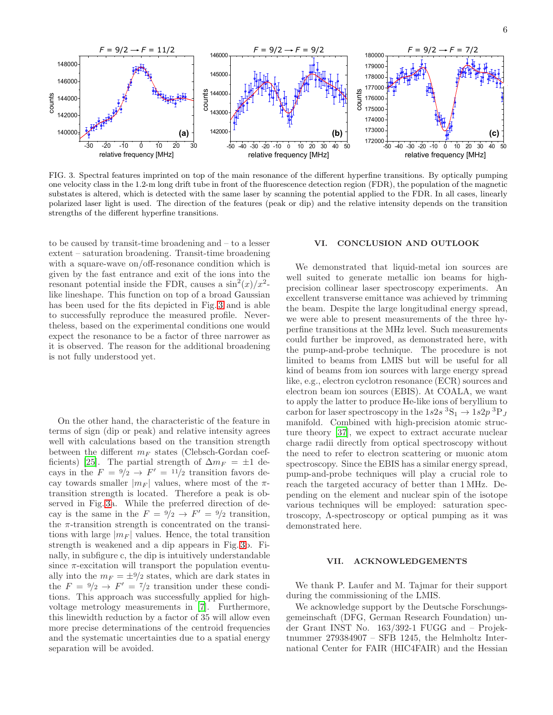

<span id="page-5-0"></span>FIG. 3. Spectral features imprinted on top of the main resonance of the different hyperfine transitions. By optically pumping one velocity class in the 1.2-m long drift tube in front of the fluorescence detection region (FDR), the population of the magnetic substates is altered, which is detected with the same laser by scanning the potential applied to the FDR. In all cases, linearly polarized laser light is used. The direction of the features (peak or dip) and the relative intensity depends on the transition strengths of the different hyperfine transitions.

to be caused by transit-time broadening and – to a lesser extent – saturation broadening. Transit-time broadening with a square-wave on/off-resonance condition which is given by the fast entrance and exit of the ions into the resonant potential inside the FDR, causes a  $\sin^2(x)/x^2$ like lineshape. This function on top of a broad Gaussian has been used for the fits depicted in Fig. [3](#page-5-0) and is able to successfully reproduce the measured profile. Nevertheless, based on the experimental conditions one would expect the resonance to be a factor of three narrower as it is observed. The reason for the additional broadening is not fully understood yet.

On the other hand, the characteristic of the feature in terms of sign (dip or peak) and relative intensity agrees well with calculations based on the transition strength between the different  $m_F$  states (Clebsch-Gordan coef-ficients) [\[25](#page-6-22)]. The partial strength of  $\Delta m_F = \pm 1$  decays in the  $F = \frac{9}{2} \rightarrow F' = \frac{11}{2}$  transition favors decay towards smaller  $|m_F|$  values, where most of the  $\pi$ transition strength is located. Therefore a peak is observed in Fig. [3a](#page-5-0). While the preferred direction of decay is the same in the  $F = \frac{9}{2} \rightarrow F' = \frac{9}{2}$  transition, the  $\pi$ -transition strength is concentrated on the transitions with large  $|m_F|$  values. Hence, the total transition strength is weakened and a dip appears in Fig. [3b](#page-5-0). Finally, in subfigure c, the dip is intuitively understandable since  $\pi$ -excitation will transport the population eventually into the  $m_F = \pm 9/2$  states, which are dark states in the  $F = \frac{9}{2} \rightarrow F' = \frac{7}{2}$  transition under these conditions. This approach was successfully applied for highvoltage metrology measurements in [\[7](#page-6-4)]. Furthermore, this linewidth reduction by a factor of 35 will allow even more precise determinations of the centroid frequencies and the systematic uncertainties due to a spatial energy separation will be avoided.

#### VI. CONCLUSION AND OUTLOOK

We demonstrated that liquid-metal ion sources are well suited to generate metallic ion beams for highprecision collinear laser spectroscopy experiments. An excellent transverse emittance was achieved by trimming the beam. Despite the large longitudinal energy spread, we were able to present measurements of the three hyperfine transitions at the MHz level. Such measurements could further be improved, as demonstrated here, with the pump-and-probe technique. The procedure is not limited to beams from LMIS but will be useful for all kind of beams from ion sources with large energy spread like, e.g., electron cyclotron resonance (ECR) sources and electron beam ion sources (EBIS). At COALA, we want to apply the latter to produce He-like ions of beryllium to carbon for laser spectroscopy in the  $1s2s$ <sup>3</sup>S<sub>1</sub>  $\rightarrow$   $1s2p$ <sup>3</sup>P<sub>J</sub> manifold. Combined with high-precision atomic structure theory [\[37\]](#page-6-34), we expect to extract accurate nuclear charge radii directly from optical spectroscopy without the need to refer to electron scattering or muonic atom spectroscopy. Since the EBIS has a similar energy spread, pump-and-probe techniques will play a crucial role to reach the targeted accuracy of better than 1 MHz. Depending on the element and nuclear spin of the isotope various techniques will be employed: saturation spectroscopy, Λ-spectroscopy or optical pumping as it was demonstrated here.

## VII. ACKNOWLEDGEMENTS

We thank P. Laufer and M. Tajmar for their support during the commissioning of the LMIS.

We acknowledge support by the Deutsche Forschungsgemeinschaft (DFG, German Research Foundation) under Grant INST No. 163/392-1 FUGG and – Projektnummer 279384907 – SFB 1245, the Helmholtz International Center for FAIR (HIC4FAIR) and the Hessian